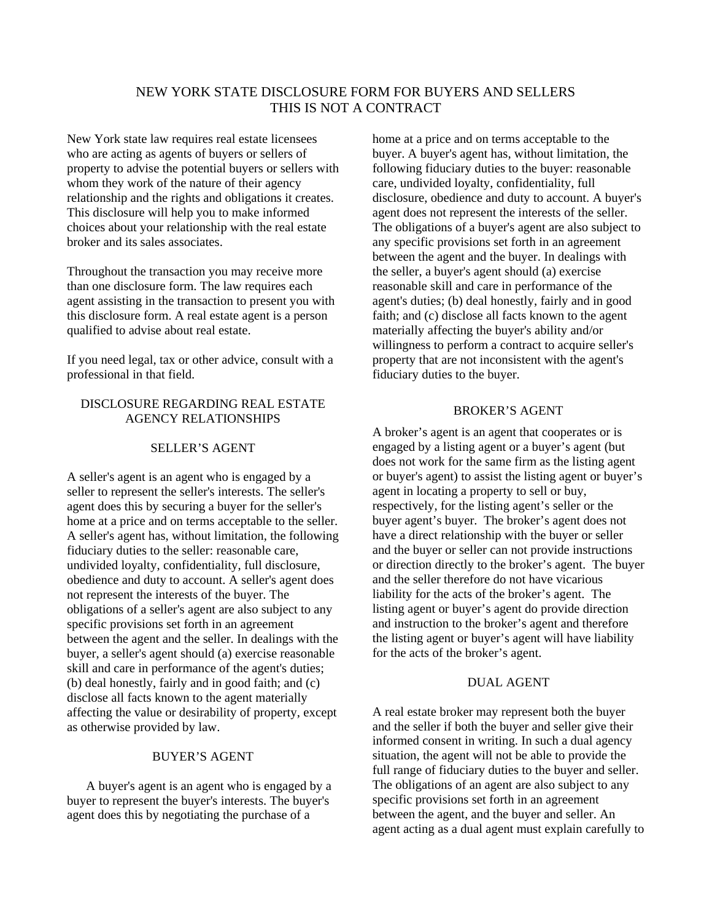# NEW YORK STATE DISCLOSURE FORM FOR BUYERS AND SELLERS THIS IS NOT A CONTRACT

New York state law requires real estate licensees who are acting as agents of buyers or sellers of property to advise the potential buyers or sellers with whom they work of the nature of their agency relationship and the rights and obligations it creates. This disclosure will help you to make informed choices about your relationship with the real estate broker and its sales associates.

Throughout the transaction you may receive more than one disclosure form. The law requires each agent assisting in the transaction to present you with this disclosure form. A real estate agent is a person qualified to advise about real estate.

If you need legal, tax or other advice, consult with a professional in that field.

## DISCLOSURE REGARDING REAL ESTATE AGENCY RELATIONSHIPS

### SELLER'S AGENT

A seller's agent is an agent who is engaged by a seller to represent the seller's interests. The seller's agent does this by securing a buyer for the seller's home at a price and on terms acceptable to the seller. A seller's agent has, without limitation, the following fiduciary duties to the seller: reasonable care, undivided loyalty, confidentiality, full disclosure, obedience and duty to account. A seller's agent does not represent the interests of the buyer. The obligations of a seller's agent are also subject to any specific provisions set forth in an agreement between the agent and the seller. In dealings with the buyer, a seller's agent should (a) exercise reasonable skill and care in performance of the agent's duties; (b) deal honestly, fairly and in good faith; and (c) disclose all facts known to the agent materially affecting the value or desirability of property, except as otherwise provided by law.

### BUYER'S AGENT

 A buyer's agent is an agent who is engaged by a buyer to represent the buyer's interests. The buyer's agent does this by negotiating the purchase of a

home at a price and on terms acceptable to the buyer. A buyer's agent has, without limitation, the following fiduciary duties to the buyer: reasonable care, undivided loyalty, confidentiality, full disclosure, obedience and duty to account. A buyer's agent does not represent the interests of the seller. The obligations of a buyer's agent are also subject to any specific provisions set forth in an agreement between the agent and the buyer. In dealings with the seller, a buyer's agent should (a) exercise reasonable skill and care in performance of the agent's duties; (b) deal honestly, fairly and in good faith; and (c) disclose all facts known to the agent materially affecting the buyer's ability and/or willingness to perform a contract to acquire seller's property that are not inconsistent with the agent's fiduciary duties to the buyer.

#### BROKER'S AGENT

A broker's agent is an agent that cooperates or is engaged by a listing agent or a buyer's agent (but does not work for the same firm as the listing agent or buyer's agent) to assist the listing agent or buyer's agent in locating a property to sell or buy, respectively, for the listing agent's seller or the buyer agent's buyer. The broker's agent does not have a direct relationship with the buyer or seller and the buyer or seller can not provide instructions or direction directly to the broker's agent. The buyer and the seller therefore do not have vicarious liability for the acts of the broker's agent. The listing agent or buyer's agent do provide direction and instruction to the broker's agent and therefore the listing agent or buyer's agent will have liability for the acts of the broker's agent.

### DUAL AGENT

A real estate broker may represent both the buyer and the seller if both the buyer and seller give their informed consent in writing. In such a dual agency situation, the agent will not be able to provide the full range of fiduciary duties to the buyer and seller. The obligations of an agent are also subject to any specific provisions set forth in an agreement between the agent, and the buyer and seller. An agent acting as a dual agent must explain carefully to